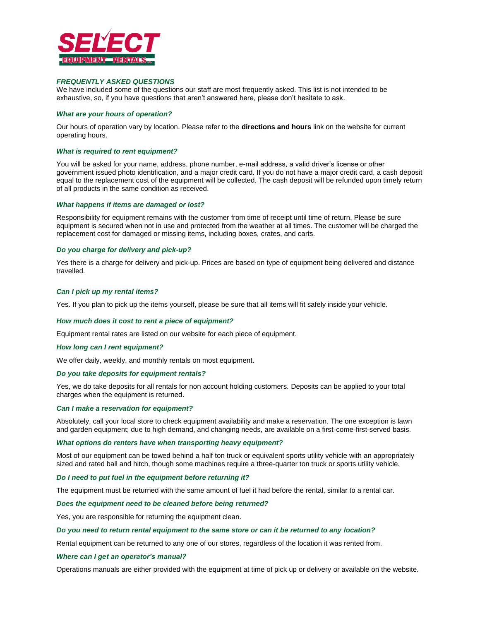

# *FREQUENTLY ASKED QUESTIONS*

We have included some of the questions our staff are most frequently asked. This list is not intended to be exhaustive, so, if you have questions that aren't answered here, please don't hesitate to ask.

# *What are your hours of operation?*

Our hours of operation vary by location. Please refer to the **directions and hours** link on the website for current operating hours.

## *What is required to rent equipment?*

You will be asked for your name, address, phone number, e-mail address, a valid driver's license or other government issued photo identification, and a major credit card. If you do not have a major credit card, a cash deposit equal to the replacement cost of the equipment will be collected. The cash deposit will be refunded upon timely return of all products in the same condition as received.

### *What happens if items are damaged or lost?*

Responsibility for equipment remains with the customer from time of receipt until time of return. Please be sure equipment is secured when not in use and protected from the weather at all times. The customer will be charged the replacement cost for damaged or missing items, including boxes, crates, and carts.

## *Do you charge for delivery and pick-up?*

Yes there is a charge for delivery and pick-up. Prices are based on type of equipment being delivered and distance travelled.

### *Can I pick up my rental items?*

Yes. If you plan to pick up the items yourself, please be sure that all items will fit safely inside your vehicle.

## *How much does it cost to rent a piece of equipment?*

Equipment rental rates are listed on our website for each piece of equipment.

#### *How long can I rent equipment?*

We offer daily, weekly, and monthly rentals on most equipment.

## *Do you take deposits for equipment rentals?*

Yes, we do take deposits for all rentals for non account holding customers. Deposits can be applied to your total charges when the equipment is returned.

#### *Can I make a reservation for equipment?*

Absolutely, call your local store to check equipment availability and make a reservation. The one exception is lawn and garden equipment; due to high demand, and changing needs, are available on a first-come-first-served basis.

#### *What options do renters have when transporting heavy equipment?*

Most of our equipment can be towed behind a half ton truck or equivalent sports utility vehicle with an appropriately sized and rated ball and hitch, though some machines require a three-quarter ton truck or sports utility vehicle.

## *Do I need to put fuel in the equipment before returning it?*

The equipment must be returned with the same amount of fuel it had before the rental, similar to a rental car.

## *Does the equipment need to be cleaned before being returned?*

Yes, you are responsible for returning the equipment clean.

### *Do you need to return rental equipment to the same store or can it be returned to any location?*

Rental equipment can be returned to any one of our stores, regardless of the location it was rented from.

#### *Where can I get an operator's manual?*

Operations manuals are either provided with the equipment at time of pick up or delivery or available on the website.